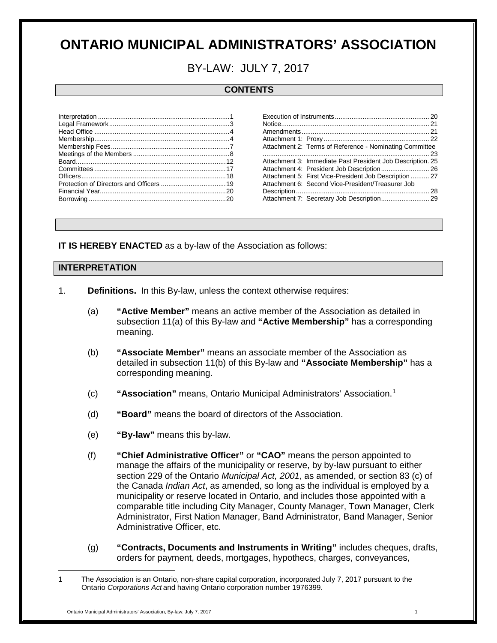# **ONTARIO MUNICIPAL ADMINISTRATORS' ASSOCIATION**

## BY-LAW: JULY 7, 2017

## **CONTENTS**

| Attachment 2: Terms of Reference - Nominating Committee    |
|------------------------------------------------------------|
|                                                            |
| Attachment 3: Immediate Past President Job Description. 25 |
| Attachment 4: President Job Description 26                 |
| Attachment 5: First Vice-President Job Description  27     |
| Attachment 6: Second Vice-President/Treasurer Job          |
|                                                            |
|                                                            |
|                                                            |

**IT IS HEREBY ENACTED** as a by-law of the Association as follows:

#### <span id="page-0-0"></span>**INTERPRETATION**

- 1. **Definitions.** In this By-law, unless the context otherwise requires:
	- (a) **"Active Member"** means an active member of the Association as detailed in subsection 11(a) of this By-law and **"Active Membership"** has a corresponding meaning.
	- (b) **"Associate Member"** means an associate member of the Association as detailed in subsection 11(b) of this By-law and **"Associate Membership"** has a corresponding meaning.
	- (c) **"Association"** means, Ontario Municipal Administrators' Association. [1](#page-0-1)
	- (d) **"Board"** means the board of directors of the Association.
	- (e) **"By-law"** means this by-law.
	- (f) **"Chief Administrative Officer"** or **"CAO"** means the person appointed to manage the affairs of the municipality or reserve, by by-law pursuant to either section 229 of the Ontario *Municipal Act, 2001*, as amended, or section 83 (c) of the Canada *Indian Act*, as amended, so long as the individual is employed by a municipality or reserve located in Ontario, and includes those appointed with a comparable title including City Manager, County Manager, Town Manager, Clerk Administrator, First Nation Manager, Band Administrator, Band Manager, Senior Administrative Officer, etc.
	- (g) **"Contracts, Documents and Instruments in Writing"** includes cheques, drafts, orders for payment, deeds, mortgages, hypothecs, charges, conveyances,

<span id="page-0-1"></span><sup>1</sup> The Association is an Ontario, non-share capital corporation, incorporated July 7, 2017 pursuant to the Ontario *Corporations Act* and having Ontario corporation number 1976399.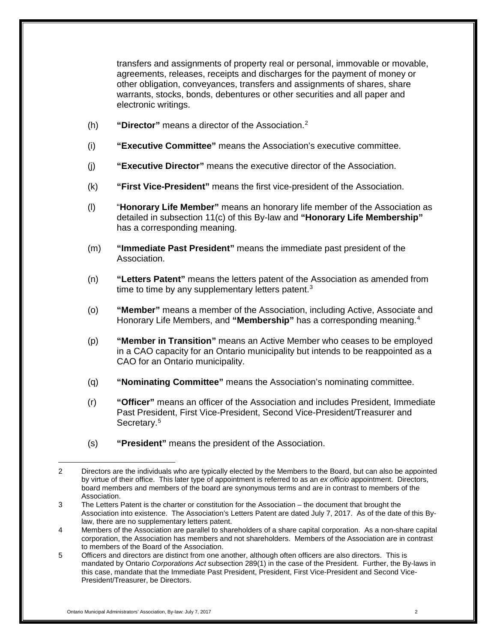transfers and assignments of property real or personal, immovable or movable, agreements, releases, receipts and discharges for the payment of money or other obligation, conveyances, transfers and assignments of shares, share warrants, stocks, bonds, debentures or other securities and all paper and electronic writings.

- (h) **"Director"** means a director of the Association. [2](#page-1-0)
- (i) **"Executive Committee"** means the Association's executive committee.
- (j) **"Executive Director"** means the executive director of the Association.
- (k) **"First Vice-President"** means the first vice-president of the Association.
- (l) "**Honorary Life Member"** means an honorary life member of the Association as detailed in subsection 11(c) of this By-law and **"Honorary Life Membership"** has a corresponding meaning.
- (m) **"Immediate Past President"** means the immediate past president of the Association.
- (n) **"Letters Patent"** means the letters patent of the Association as amended from time to time by any supplementary letters patent. $3$
- (o) **"Member"** means a member of the Association, including Active, Associate and Honorary Life Members, and **"Membership"** has a corresponding meaning. [4](#page-1-2)
- (p) **"Member in Transition"** means an Active Member who ceases to be employed in a CAO capacity for an Ontario municipality but intends to be reappointed as a CAO for an Ontario municipality.
- (q) **"Nominating Committee"** means the Association's nominating committee.
- (r) **"Officer"** means an officer of the Association and includes President, Immediate Past President, First Vice-President, Second Vice-President/Treasurer and Secretary.<sup>[5](#page-1-3)</sup>
- (s) **"President"** means the president of the Association.

<span id="page-1-0"></span> $\overline{a}$ 2 Directors are the individuals who are typically elected by the Members to the Board, but can also be appointed by virtue of their office. This later type of appointment is referred to as an *ex officio* appointment. Directors, board members and members of the board are synonymous terms and are in contrast to members of the Association.

<span id="page-1-1"></span><sup>3</sup> The Letters Patent is the charter or constitution for the Association – the document that brought the Association into existence. The Association's Letters Patent are dated July 7, 2017. As of the date of this Bylaw, there are no supplementary letters patent.

<span id="page-1-2"></span><sup>4</sup> Members of the Association are parallel to shareholders of a share capital corporation. As a non-share capital corporation, the Association has members and not shareholders. Members of the Association are in contrast to members of the Board of the Association.

<span id="page-1-3"></span><sup>5</sup> Officers and directors are distinct from one another, although often officers are also directors. This is mandated by Ontario *Corporations Act* subsection 289(1) in the case of the President. Further, the By-laws in this case, mandate that the Immediate Past President, President, First Vice-President and Second Vice-President/Treasurer, be Directors.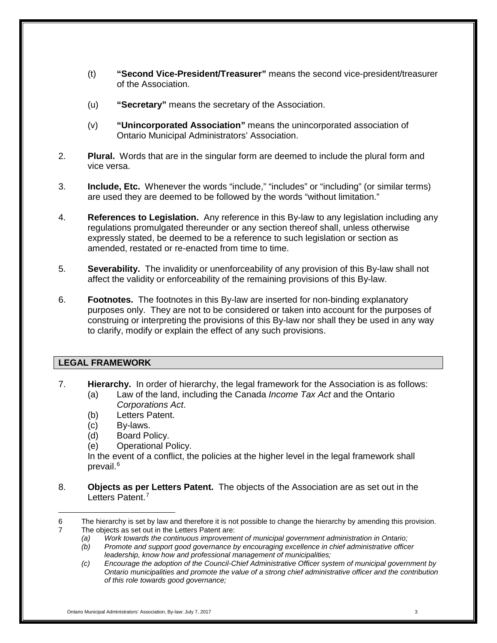- (t) **"Second Vice-President/Treasurer"** means the second vice-president/treasurer of the Association.
- (u) **"Secretary"** means the secretary of the Association.
- (v) **"Unincorporated Association"** means the unincorporated association of Ontario Municipal Administrators' Association.
- 2. **Plural.** Words that are in the singular form are deemed to include the plural form and vice versa.
- 3. **Include, Etc.** Whenever the words "include," "includes" or "including" (or similar terms) are used they are deemed to be followed by the words "without limitation."
- 4. **References to Legislation.** Any reference in this By-law to any legislation including any regulations promulgated thereunder or any section thereof shall, unless otherwise expressly stated, be deemed to be a reference to such legislation or section as amended, restated or re-enacted from time to time.
- 5. **Severability.** The invalidity or unenforceability of any provision of this By-law shall not affect the validity or enforceability of the remaining provisions of this By-law.
- 6. **Footnotes.** The footnotes in this By-law are inserted for non-binding explanatory purposes only. They are not to be considered or taken into account for the purposes of construing or interpreting the provisions of this By-law nor shall they be used in any way to clarify, modify or explain the effect of any such provisions.

## <span id="page-2-0"></span>**LEGAL FRAMEWORK**

- 7. **Hierarchy.** In order of hierarchy, the legal framework for the Association is as follows:
	- (a) Law of the land, including the Canada *Income Tax Act* and the Ontario *Corporations Act*.
		- (b) Letters Patent.
		- (c) By-laws.
		- (d) Board Policy.
		- (e) Operational Policy.

In the event of a conflict, the policies at the higher level in the legal framework shall prevail.<sup>[6](#page-2-1)</sup>

8. **Objects as per Letters Patent.** The objects of the Association are as set out in the Letters Patent.<sup>[7](#page-2-2)</sup>

<span id="page-2-2"></span><span id="page-2-1"></span> $\overline{a}$ 6 The hierarchy is set by law and therefore it is not possible to change the hierarchy by amending this provision. 7 The objects as set out in the Letters Patent are:

*<sup>(</sup>a) Work towards the continuous improvement of municipal government administration in Ontario;*

*<sup>(</sup>b) Promote and support good governance by encouraging excellence in chief administrative officer leadership, know how and professional management of municipalities;*

*<sup>(</sup>c) Encourage the adoption of the Council-Chief Administrative Officer system of municipal government by Ontario municipalities and promote the value of a strong chief administrative officer and the contribution of this role towards good governance;*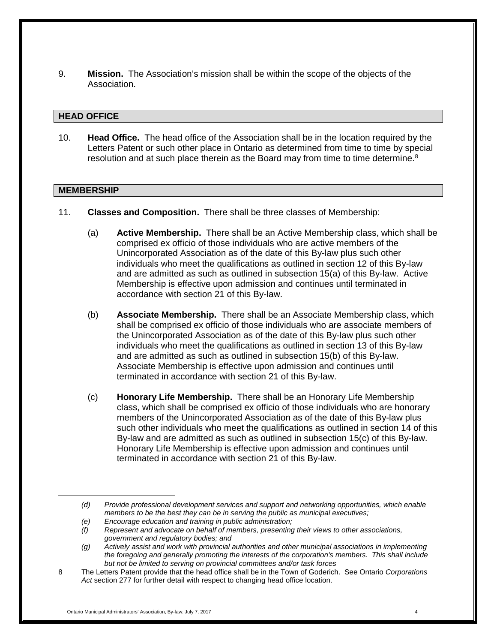9. **Mission.** The Association's mission shall be within the scope of the objects of the Association.

#### <span id="page-3-0"></span>**HEAD OFFICE**

10. **Head Office.** The head office of the Association shall be in the location required by the Letters Patent or such other place in Ontario as determined from time to time by special resolution and at such place therein as the Board may from time to time determine. $8$ 

#### <span id="page-3-1"></span>**MEMBERSHIP**

- 11. **Classes and Composition.** There shall be three classes of Membership:
	- (a) **Active Membership.** There shall be an Active Membership class, which shall be comprised ex officio of those individuals who are active members of the Unincorporated Association as of the date of this By-law plus such other individuals who meet the qualifications as outlined in section 12 of this By-law and are admitted as such as outlined in subsection 15(a) of this By-law. Active Membership is effective upon admission and continues until terminated in accordance with section 21 of this By-law.
	- (b) **Associate Membership.** There shall be an Associate Membership class, which shall be comprised ex officio of those individuals who are associate members of the Unincorporated Association as of the date of this By-law plus such other individuals who meet the qualifications as outlined in section 13 of this By-law and are admitted as such as outlined in subsection 15(b) of this By-law. Associate Membership is effective upon admission and continues until terminated in accordance with section 21 of this By-law.
	- (c) **Honorary Life Membership.** There shall be an Honorary Life Membership class, which shall be comprised ex officio of those individuals who are honorary members of the Unincorporated Association as of the date of this By-law plus such other individuals who meet the qualifications as outlined in section 14 of this By-law and are admitted as such as outlined in subsection 15(c) of this By-law. Honorary Life Membership is effective upon admission and continues until terminated in accordance with section 21 of this By-law.

*<sup>(</sup>d) Provide professional development services and support and networking opportunities, which enable members to be the best they can be in serving the public as municipal executives;*

*<sup>(</sup>e) Encourage education and training in public administration;*

*<sup>(</sup>f) Represent and advocate on behalf of members, presenting their views to other associations, government and regulatory bodies; and*

*<sup>(</sup>g) Actively assist and work with provincial authorities and other municipal associations in implementing the foregoing and generally promoting the interests of the corporation's members. This shall include but not be limited to serving on provincial committees and/or task forces*

<span id="page-3-2"></span><sup>8</sup> The Letters Patent provide that the head office shall be in the Town of Goderich. See Ontario *Corporations Act* section 277 for further detail with respect to changing head office location.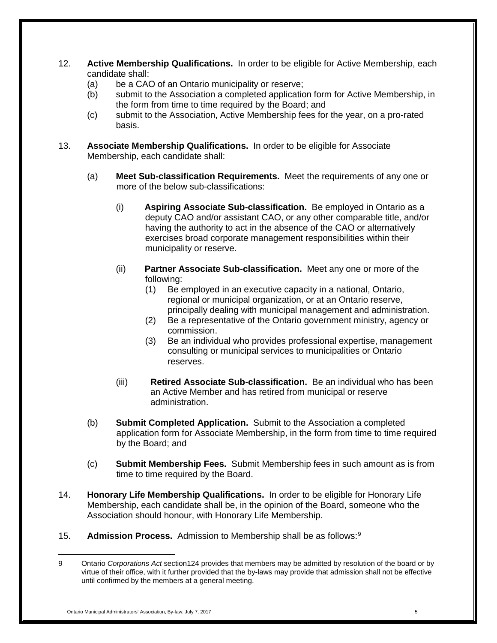- 12. **Active Membership Qualifications.** In order to be eligible for Active Membership, each candidate shall:
	- (a) be a CAO of an Ontario municipality or reserve;
	- (b) submit to the Association a completed application form for Active Membership, in the form from time to time required by the Board; and
	- (c) submit to the Association, Active Membership fees for the year, on a pro-rated basis.
- 13. **Associate Membership Qualifications.** In order to be eligible for Associate Membership, each candidate shall:
	- (a) **Meet Sub-classification Requirements.** Meet the requirements of any one or more of the below sub-classifications:
		- (i) **Aspiring Associate Sub-classification.** Be employed in Ontario as a deputy CAO and/or assistant CAO, or any other comparable title, and/or having the authority to act in the absence of the CAO or alternatively exercises broad corporate management responsibilities within their municipality or reserve.
		- (ii) **Partner Associate Sub-classification.** Meet any one or more of the following:
			- (1) Be employed in an executive capacity in a national, Ontario, regional or municipal organization, or at an Ontario reserve, principally dealing with municipal management and administration.
			- (2) Be a representative of the Ontario government ministry, agency or commission.
			- (3) Be an individual who provides professional expertise, management consulting or municipal services to municipalities or Ontario reserves.
		- (iii) **Retired Associate Sub-classification.** Be an individual who has been an Active Member and has retired from municipal or reserve administration.
	- (b) **Submit Completed Application.** Submit to the Association a completed application form for Associate Membership, in the form from time to time required by the Board; and
	- (c) **Submit Membership Fees.** Submit Membership fees in such amount as is from time to time required by the Board.
- 14. **Honorary Life Membership Qualifications.** In order to be eligible for Honorary Life Membership, each candidate shall be, in the opinion of the Board, someone who the Association should honour, with Honorary Life Membership.
- 15. **Admission Process.** Admission to Membership shall be as follows: [9](#page-4-0)

<span id="page-4-0"></span> $\overline{a}$ 9 Ontario *Corporations Act* section124 provides that members may be admitted by resolution of the board or by virtue of their office, with it further provided that the by-laws may provide that admission shall not be effective until confirmed by the members at a general meeting.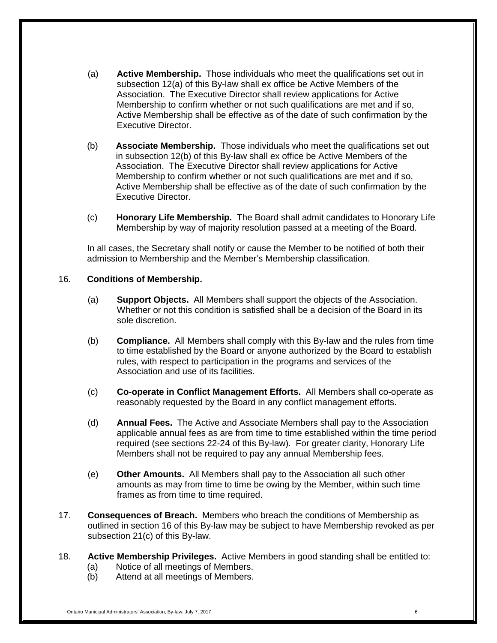- (a) **Active Membership.** Those individuals who meet the qualifications set out in subsection 12(a) of this By-law shall ex office be Active Members of the Association. The Executive Director shall review applications for Active Membership to confirm whether or not such qualifications are met and if so, Active Membership shall be effective as of the date of such confirmation by the Executive Director.
- (b) **Associate Membership.** Those individuals who meet the qualifications set out in subsection 12(b) of this By-law shall ex office be Active Members of the Association. The Executive Director shall review applications for Active Membership to confirm whether or not such qualifications are met and if so, Active Membership shall be effective as of the date of such confirmation by the Executive Director.
- (c) **Honorary Life Membership.** The Board shall admit candidates to Honorary Life Membership by way of majority resolution passed at a meeting of the Board.

In all cases, the Secretary shall notify or cause the Member to be notified of both their admission to Membership and the Member's Membership classification.

#### 16. **Conditions of Membership.**

- (a) **Support Objects.** All Members shall support the objects of the Association. Whether or not this condition is satisfied shall be a decision of the Board in its sole discretion.
- (b) **Compliance.** All Members shall comply with this By-law and the rules from time to time established by the Board or anyone authorized by the Board to establish rules, with respect to participation in the programs and services of the Association and use of its facilities.
- (c) **Co-operate in Conflict Management Efforts.** All Members shall co-operate as reasonably requested by the Board in any conflict management efforts.
- (d) **Annual Fees.** The Active and Associate Members shall pay to the Association applicable annual fees as are from time to time established within the time period required (see sections 22-24 of this By-law). For greater clarity, Honorary Life Members shall not be required to pay any annual Membership fees.
- (e) **Other Amounts.** All Members shall pay to the Association all such other amounts as may from time to time be owing by the Member, within such time frames as from time to time required.
- 17. **Consequences of Breach.** Members who breach the conditions of Membership as outlined in section 16 of this By-law may be subject to have Membership revoked as per subsection 21(c) of this By-law.
- 18. **Active Membership Privileges.** Active Members in good standing shall be entitled to:
	- (a) Notice of all meetings of Members.
	- (b) Attend at all meetings of Members.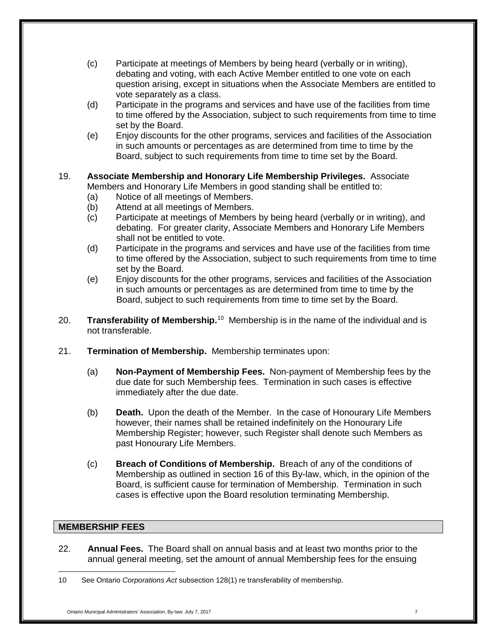- (c) Participate at meetings of Members by being heard (verbally or in writing), debating and voting, with each Active Member entitled to one vote on each question arising, except in situations when the Associate Members are entitled to vote separately as a class.
- (d) Participate in the programs and services and have use of the facilities from time to time offered by the Association, subject to such requirements from time to time set by the Board.
- (e) Enjoy discounts for the other programs, services and facilities of the Association in such amounts or percentages as are determined from time to time by the Board, subject to such requirements from time to time set by the Board.
- 19. **Associate Membership and Honorary Life Membership Privileges.** Associate Members and Honorary Life Members in good standing shall be entitled to:
	- (a) Notice of all meetings of Members.
	- (b) Attend at all meetings of Members.
	- (c) Participate at meetings of Members by being heard (verbally or in writing), and debating. For greater clarity, Associate Members and Honorary Life Members shall not be entitled to vote.
	- (d) Participate in the programs and services and have use of the facilities from time to time offered by the Association, subject to such requirements from time to time set by the Board.
	- (e) Enjoy discounts for the other programs, services and facilities of the Association in such amounts or percentages as are determined from time to time by the Board, subject to such requirements from time to time set by the Board.
- 20. **Transferability of Membership.**[10](#page-6-1)Membership is in the name of the individual and is not transferable.
- 21. **Termination of Membership.** Membership terminates upon:
	- (a) **Non-Payment of Membership Fees.** Non-payment of Membership fees by the due date for such Membership fees. Termination in such cases is effective immediately after the due date.
	- (b) **Death.** Upon the death of the Member. In the case of Honourary Life Members however, their names shall be retained indefinitely on the Honourary Life Membership Register; however, such Register shall denote such Members as past Honourary Life Members.
	- (c) **Breach of Conditions of Membership.** Breach of any of the conditions of Membership as outlined in section 16 of this By-law, which, in the opinion of the Board, is sufficient cause for termination of Membership. Termination in such cases is effective upon the Board resolution terminating Membership.

## <span id="page-6-0"></span>**MEMBERSHIP FEES**

 $\overline{a}$ 

22. **Annual Fees.** The Board shall on annual basis and at least two months prior to the annual general meeting, set the amount of annual Membership fees for the ensuing

<span id="page-6-1"></span><sup>10</sup> See Ontario *Corporations Act* subsection 128(1) re transferability of membership.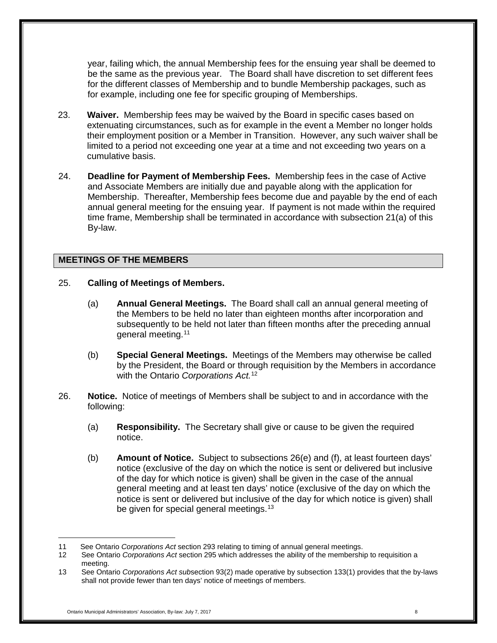year, failing which, the annual Membership fees for the ensuing year shall be deemed to be the same as the previous year. The Board shall have discretion to set different fees for the different classes of Membership and to bundle Membership packages, such as for example, including one fee for specific grouping of Memberships.

- 23. **Waiver.** Membership fees may be waived by the Board in specific cases based on extenuating circumstances, such as for example in the event a Member no longer holds their employment position or a Member in Transition. However, any such waiver shall be limited to a period not exceeding one year at a time and not exceeding two years on a cumulative basis.
- 24. **Deadline for Payment of Membership Fees.** Membership fees in the case of Active and Associate Members are initially due and payable along with the application for Membership. Thereafter, Membership fees become due and payable by the end of each annual general meeting for the ensuing year. If payment is not made within the required time frame, Membership shall be terminated in accordance with subsection 21(a) of this By-law.

#### <span id="page-7-0"></span>**MEETINGS OF THE MEMBERS**

- 25. **Calling of Meetings of Members.**
	- (a) **Annual General Meetings.** The Board shall call an annual general meeting of the Members to be held no later than eighteen months after incorporation and subsequently to be held not later than fifteen months after the preceding annual general meeting. [11](#page-7-1)
	- (b) **Special General Meetings.** Meetings of the Members may otherwise be called by the President, the Board or through requisition by the Members in accordance with the Ontario *Corporations Act.* [12](#page-7-2)
- 26. **Notice.** Notice of meetings of Members shall be subject to and in accordance with the following:
	- (a) **Responsibility.** The Secretary shall give or cause to be given the required notice.
	- (b) **Amount of Notice.** Subject to subsections 26(e) and (f), at least fourteen days' notice (exclusive of the day on which the notice is sent or delivered but inclusive of the day for which notice is given) shall be given in the case of the annual general meeting and at least ten days' notice (exclusive of the day on which the notice is sent or delivered but inclusive of the day for which notice is given) shall be given for special general meetings.<sup>[13](#page-7-3)</sup>

<span id="page-7-1"></span><sup>11</sup> See Ontario *Corporations Act* section 293 relating to timing of annual general meetings.

<span id="page-7-2"></span><sup>12</sup> See Ontario *Corporations Act* section 295 which addresses the ability of the membership to requisition a meeting.

<span id="page-7-3"></span><sup>13</sup> See Ontario *Corporations Act sub*section 93(2) made operative by subsection 133(1) provides that the by-laws shall not provide fewer than ten days' notice of meetings of members.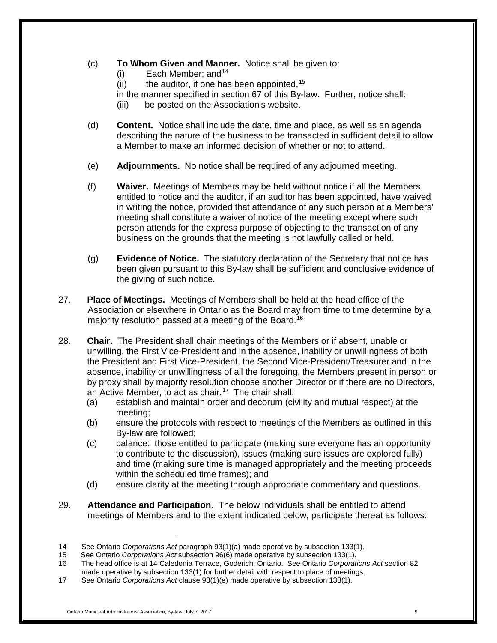- (c) **To Whom Given and Manner.** Notice shall be given to:
	- $(i)$  Each Member; and <sup>[14](#page-8-0)</sup>
	- (ii) the auditor, if one has been appointed,  $15$
	- in the manner specified in section 67 of this By-law. Further, notice shall:
	- (iii) be posted on the Association's website.
- (d) **Content.** Notice shall include the date, time and place, as well as an agenda describing the nature of the business to be transacted in sufficient detail to allow a Member to make an informed decision of whether or not to attend.
- (e) **Adjournments.** No notice shall be required of any adjourned meeting.
- (f) **Waiver.** Meetings of Members may be held without notice if all the Members entitled to notice and the auditor, if an auditor has been appointed, have waived in writing the notice, provided that attendance of any such person at a Members' meeting shall constitute a waiver of notice of the meeting except where such person attends for the express purpose of objecting to the transaction of any business on the grounds that the meeting is not lawfully called or held.
- (g) **Evidence of Notice.** The statutory declaration of the Secretary that notice has been given pursuant to this By-law shall be sufficient and conclusive evidence of the giving of such notice.
- 27. **Place of Meetings.** Meetings of Members shall be held at the head office of the Association or elsewhere in Ontario as the Board may from time to time determine by a majority resolution passed at a meeting of the Board.<sup>[16](#page-8-2)</sup>
- 28. **Chair.** The President shall chair meetings of the Members or if absent, unable or unwilling, the First Vice-President and in the absence, inability or unwillingness of both the President and First Vice-President, the Second Vice-President/Treasurer and in the absence, inability or unwillingness of all the foregoing, the Members present in person or by proxy shall by majority resolution choose another Director or if there are no Directors, an Active Member, to act as chair.[17](#page-8-3) The chair shall:
	- (a) establish and maintain order and decorum (civility and mutual respect) at the meeting;
	- (b) ensure the protocols with respect to meetings of the Members as outlined in this By-law are followed;
	- (c) balance: those entitled to participate (making sure everyone has an opportunity to contribute to the discussion), issues (making sure issues are explored fully) and time (making sure time is managed appropriately and the meeting proceeds within the scheduled time frames); and
	- (d) ensure clarity at the meeting through appropriate commentary and questions.
- 29. **Attendance and Participation**. The below individuals shall be entitled to attend meetings of Members and to the extent indicated below, participate thereat as follows:

<span id="page-8-0"></span> $\overline{a}$ 14 See Ontario *Corporations Act* paragraph 93(1)(a) made operative by subsection 133(1).

<span id="page-8-1"></span><sup>15</sup> See Ontario *Corporations Act* subsection 96(6) made operative by subsection 133(1).

<span id="page-8-2"></span><sup>16</sup> The head office is at 14 Caledonia Terrace, Goderich, Ontario. See Ontario *Corporations Act* section 82 made operative by subsection 133(1) for further detail with respect to place of meetings.

<span id="page-8-3"></span><sup>17</sup> See Ontario *Corporations Act* clause 93(1)(e) made operative by subsection 133(1).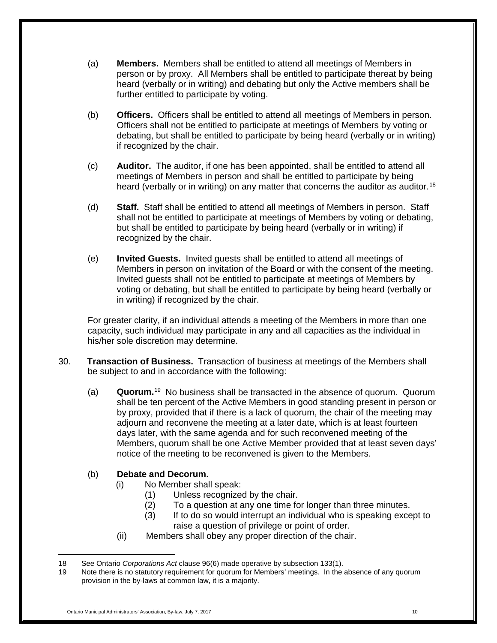- (a) **Members.** Members shall be entitled to attend all meetings of Members in person or by proxy. All Members shall be entitled to participate thereat by being heard (verbally or in writing) and debating but only the Active members shall be further entitled to participate by voting.
- (b) **Officers.** Officers shall be entitled to attend all meetings of Members in person. Officers shall not be entitled to participate at meetings of Members by voting or debating, but shall be entitled to participate by being heard (verbally or in writing) if recognized by the chair.
- (c) **Auditor.** The auditor, if one has been appointed, shall be entitled to attend all meetings of Members in person and shall be entitled to participate by being heard (verbally or in writing) on any matter that concerns the auditor as auditor.<sup>[18](#page-9-0)</sup>
- (d) **Staff.** Staff shall be entitled to attend all meetings of Members in person. Staff shall not be entitled to participate at meetings of Members by voting or debating, but shall be entitled to participate by being heard (verbally or in writing) if recognized by the chair.
- (e) **Invited Guests.** Invited guests shall be entitled to attend all meetings of Members in person on invitation of the Board or with the consent of the meeting. Invited guests shall not be entitled to participate at meetings of Members by voting or debating, but shall be entitled to participate by being heard (verbally or in writing) if recognized by the chair.

For greater clarity, if an individual attends a meeting of the Members in more than one capacity, such individual may participate in any and all capacities as the individual in his/her sole discretion may determine.

- 30. **Transaction of Business.** Transaction of business at meetings of the Members shall be subject to and in accordance with the following:
	- (a) **Quorum.**[19](#page-9-1) No business shall be transacted in the absence of quorum. Quorum shall be ten percent of the Active Members in good standing present in person or by proxy, provided that if there is a lack of quorum, the chair of the meeting may adjourn and reconvene the meeting at a later date, which is at least fourteen days later, with the same agenda and for such reconvened meeting of the Members, quorum shall be one Active Member provided that at least seven days' notice of the meeting to be reconvened is given to the Members.

## (b) **Debate and Decorum.**

- (i) No Member shall speak:
	- (1) Unless recognized by the chair.
	- (2) To a question at any one time for longer than three minutes.
	- (3) If to do so would interrupt an individual who is speaking except to raise a question of privilege or point of order.
- (ii) Members shall obey any proper direction of the chair.

<span id="page-9-1"></span><span id="page-9-0"></span><sup>18</sup> See Ontario *Corporations Act* clause 96(6) made operative by subsection 133(1).

<sup>19</sup> Note there is no statutory requirement for quorum for Members' meetings. In the absence of any quorum provision in the by-laws at common law, it is a majority.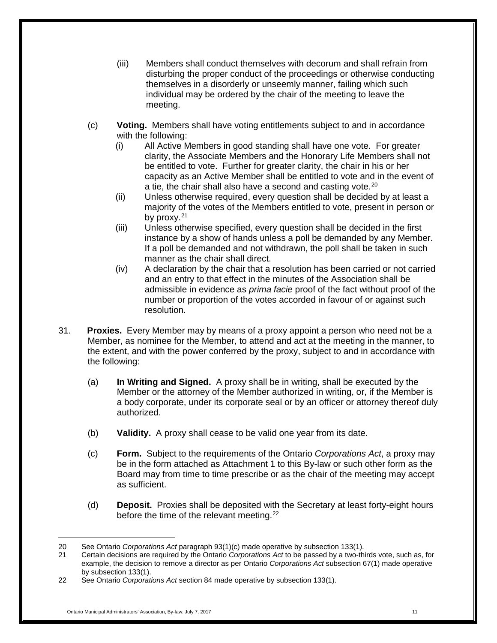- (iii) Members shall conduct themselves with decorum and shall refrain from disturbing the proper conduct of the proceedings or otherwise conducting themselves in a disorderly or unseemly manner, failing which such individual may be ordered by the chair of the meeting to leave the meeting.
- (c) **Voting.** Members shall have voting entitlements subject to and in accordance with the following:
	- (i) All Active Members in good standing shall have one vote. For greater clarity, the Associate Members and the Honorary Life Members shall not be entitled to vote. Further for greater clarity, the chair in his or her capacity as an Active Member shall be entitled to vote and in the event of a tie, the chair shall also have a second and casting vote.<sup>[20](#page-10-0)</sup>
	- (ii) Unless otherwise required, every question shall be decided by at least a majority of the votes of the Members entitled to vote, present in person or by proxy. $21$
	- (iii) Unless otherwise specified, every question shall be decided in the first instance by a show of hands unless a poll be demanded by any Member. If a poll be demanded and not withdrawn, the poll shall be taken in such manner as the chair shall direct.
	- (iv) A declaration by the chair that a resolution has been carried or not carried and an entry to that effect in the minutes of the Association shall be admissible in evidence as *prima facie* proof of the fact without proof of the number or proportion of the votes accorded in favour of or against such resolution.
- 31. **Proxies.** Every Member may by means of a proxy appoint a person who need not be a Member, as nominee for the Member, to attend and act at the meeting in the manner, to the extent, and with the power conferred by the proxy, subject to and in accordance with the following:
	- (a) **In Writing and Signed.** A proxy shall be in writing, shall be executed by the Member or the attorney of the Member authorized in writing, or, if the Member is a body corporate, under its corporate seal or by an officer or attorney thereof duly authorized.
	- (b) **Validity.** A proxy shall cease to be valid one year from its date.
	- (c) **Form.** Subject to the requirements of the Ontario *Corporations Act*, a proxy may be in the form attached as Attachment 1 to this By-law or such other form as the Board may from time to time prescribe or as the chair of the meeting may accept as sufficient.
	- (d) **Deposit.** Proxies shall be deposited with the Secretary at least forty-eight hours before the time of the relevant meeting. $22$

 $\overline{a}$ 20 See Ontario *Corporations Act* paragraph 93(1)(c) made operative by subsection 133(1).

<span id="page-10-1"></span><span id="page-10-0"></span><sup>21</sup> Certain decisions are required by the Ontario *Corporations Act* to be passed by a two-thirds vote, such as, for example, the decision to remove a director as per Ontario *Corporations Act* subsection 67(1) made operative by subsection 133(1).

<span id="page-10-2"></span><sup>22</sup> See Ontario *Corporations Act* section 84 made operative by subsection 133(1).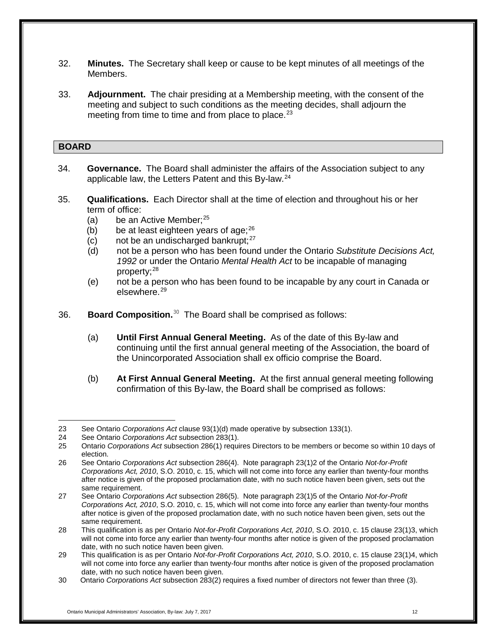- 32. **Minutes.** The Secretary shall keep or cause to be kept minutes of all meetings of the Members.
- 33. **Adjournment.** The chair presiding at a Membership meeting, with the consent of the meeting and subject to such conditions as the meeting decides, shall adjourn the meeting from time to time and from place to place.<sup>[23](#page-11-1)</sup>

#### <span id="page-11-0"></span>**BOARD**

- 34. **Governance.** The Board shall administer the affairs of the Association subject to any applicable law, the Letters Patent and this By-law.[24](#page-11-2)
- 35. **Qualifications.** Each Director shall at the time of election and throughout his or her term of office:
	- (a) be an Active Member:  $25$
	- (b) be at least eighteen years of age; $^{26}$  $^{26}$  $^{26}$
	- (c) not be an undischarged bankrupt; $27$
	- (d) not be a person who has been found under the Ontario *Substitute Decisions Act, 1992* or under the Ontario *Mental Health Act* to be incapable of managing property;<sup>[28](#page-11-6)</sup>
	- (e) not be a person who has been found to be incapable by any court in Canada or elsewhere. [29](#page-11-7)
- 36. **Board Composition.**[30](#page-11-8) The Board shall be comprised as follows:
	- (a) **Until First Annual General Meeting.** As of the date of this By-law and continuing until the first annual general meeting of the Association, the board of the Unincorporated Association shall ex officio comprise the Board.
	- (b) **At First Annual General Meeting.** At the first annual general meeting following confirmation of this By-law, the Board shall be comprised as follows:

 $\overline{a}$ 23 See Ontario *Corporations Act* clause 93(1)(d) made operative by subsection 133(1).

<span id="page-11-2"></span><span id="page-11-1"></span><sup>24</sup> See Ontario *Corporations Act* subsection 283(1).

<span id="page-11-3"></span><sup>25</sup> Ontario *Corporations Act* subsection 286(1) requires Directors to be members or become so within 10 days of election.

<span id="page-11-4"></span><sup>26</sup> See Ontario *Corporations Act* subsection 286(4). Note paragraph 23(1)2 of the Ontario *Not-for-Profit Corporations Act, 2010*, S.O. 2010, c. 15, which will not come into force any earlier than twenty-four months after notice is given of the proposed proclamation date, with no such notice haven been given, sets out the same requirement.

<span id="page-11-5"></span><sup>27</sup> See Ontario *Corporations Act* subsection 286(5). Note paragraph 23(1)5 of the Ontario *Not-for-Profit Corporations Act, 2010*, S.O. 2010, c. 15, which will not come into force any earlier than twenty-four months after notice is given of the proposed proclamation date, with no such notice haven been given, sets out the same requirement.

<span id="page-11-6"></span><sup>28</sup> This qualification is as per Ontario *Not-for-Profit Corporations Act, 2010*, S.O. 2010, c. 15 clause 23(1)3, which will not come into force any earlier than twenty-four months after notice is given of the proposed proclamation date, with no such notice haven been given.

<span id="page-11-7"></span><sup>29</sup> This qualification is as per Ontario *Not-for-Profit Corporations Act, 2010*, S.O. 2010, c. 15 clause 23(1)4, which will not come into force any earlier than twenty-four months after notice is given of the proposed proclamation date, with no such notice haven been given.

<span id="page-11-8"></span><sup>30</sup> Ontario *Corporations Act* subsection 283(2) requires a fixed number of directors not fewer than three (3).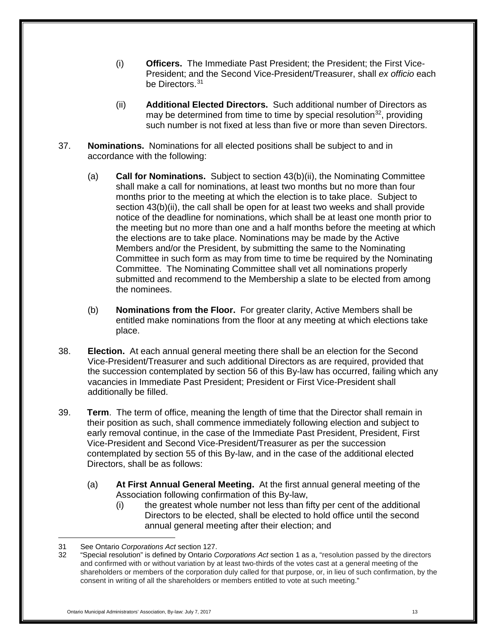- (i) **Officers.** The Immediate Past President; the President; the First Vice-President; and the Second Vice-President/Treasurer, shall *ex officio* each be Directors.<sup>[31](#page-12-0)</sup>
- (ii) **Additional Elected Directors.** Such additional number of Directors as may be determined from time to time by special resolution<sup>[32](#page-12-1)</sup>, providing such number is not fixed at less than five or more than seven Directors.
- 37. **Nominations.** Nominations for all elected positions shall be subject to and in accordance with the following:
	- (a) **Call for Nominations.** Subject to section 43(b)(ii), the Nominating Committee shall make a call for nominations, at least two months but no more than four months prior to the meeting at which the election is to take place. Subject to section 43(b)(ii), the call shall be open for at least two weeks and shall provide notice of the deadline for nominations, which shall be at least one month prior to the meeting but no more than one and a half months before the meeting at which the elections are to take place. Nominations may be made by the Active Members and/or the President, by submitting the same to the Nominating Committee in such form as may from time to time be required by the Nominating Committee. The Nominating Committee shall vet all nominations properly submitted and recommend to the Membership a slate to be elected from among the nominees.
	- (b) **Nominations from the Floor.** For greater clarity, Active Members shall be entitled make nominations from the floor at any meeting at which elections take place.
- 38. **Election.** At each annual general meeting there shall be an election for the Second Vice-President/Treasurer and such additional Directors as are required, provided that the succession contemplated by section 56 of this By-law has occurred, failing which any vacancies in Immediate Past President; President or First Vice-President shall additionally be filled.
- 39. **Term**. The term of office, meaning the length of time that the Director shall remain in their position as such, shall commence immediately following election and subject to early removal continue, in the case of the Immediate Past President, President, First Vice-President and Second Vice-President/Treasurer as per the succession contemplated by section 55 of this By-law, and in the case of the additional elected Directors, shall be as follows:
	- (a) **At First Annual General Meeting.** At the first annual general meeting of the Association following confirmation of this By-law,
		- (i) the greatest whole number not less than fifty per cent of the additional Directors to be elected, shall be elected to hold office until the second annual general meeting after their election; and

<span id="page-12-0"></span><sup>31</sup> See Ontario *Corporations Act* section 127.

<span id="page-12-1"></span><sup>32</sup> "Special resolution" is defined by Ontario *Corporations Act* section 1 as a, "resolution passed by the directors and confirmed with or without variation by at least two-thirds of the votes cast at a general meeting of the shareholders or members of the corporation duly called for that purpose, or, in lieu of such confirmation, by the consent in writing of all the shareholders or members entitled to vote at such meeting."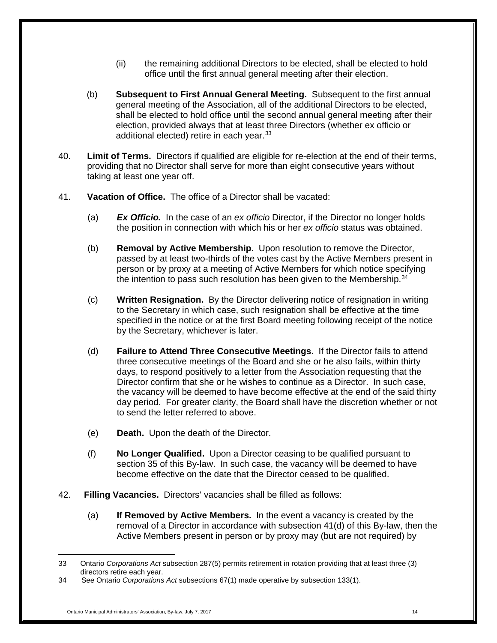- (ii) the remaining additional Directors to be elected, shall be elected to hold office until the first annual general meeting after their election.
- (b) **Subsequent to First Annual General Meeting.** Subsequent to the first annual general meeting of the Association, all of the additional Directors to be elected, shall be elected to hold office until the second annual general meeting after their election, provided always that at least three Directors (whether ex officio or additional elected) retire in each year.<sup>[33](#page-13-0)</sup>
- 40. **Limit of Terms.** Directors if qualified are eligible for re-election at the end of their terms, providing that no Director shall serve for more than eight consecutive years without taking at least one year off.
- 41. **Vacation of Office.** The office of a Director shall be vacated:
	- (a) *Ex Officio.* In the case of an *ex officio* Director, if the Director no longer holds the position in connection with which his or her *ex officio* status was obtained.
	- (b) **Removal by Active Membership.** Upon resolution to remove the Director, passed by at least two-thirds of the votes cast by the Active Members present in person or by proxy at a meeting of Active Members for which notice specifying the intention to pass such resolution has been given to the Membership.<sup>[34](#page-13-1)</sup>
	- (c) **Written Resignation.** By the Director delivering notice of resignation in writing to the Secretary in which case, such resignation shall be effective at the time specified in the notice or at the first Board meeting following receipt of the notice by the Secretary, whichever is later.
	- (d) **Failure to Attend Three Consecutive Meetings.** If the Director fails to attend three consecutive meetings of the Board and she or he also fails, within thirty days, to respond positively to a letter from the Association requesting that the Director confirm that she or he wishes to continue as a Director. In such case, the vacancy will be deemed to have become effective at the end of the said thirty day period. For greater clarity, the Board shall have the discretion whether or not to send the letter referred to above.
	- (e) **Death.** Upon the death of the Director.
	- (f) **No Longer Qualified.** Upon a Director ceasing to be qualified pursuant to section 35 of this By-law. In such case, the vacancy will be deemed to have become effective on the date that the Director ceased to be qualified.
- 42. **Filling Vacancies.** Directors' vacancies shall be filled as follows:
	- (a) **If Removed by Active Members.** In the event a vacancy is created by the removal of a Director in accordance with subsection 41(d) of this By-law, then the Active Members present in person or by proxy may (but are not required) by

<span id="page-13-0"></span><sup>33</sup> Ontario *Corporations Act* subsection 287(5) permits retirement in rotation providing that at least three (3) directors retire each year.

<span id="page-13-1"></span><sup>34</sup> See Ontario *Corporations Act* subsections 67(1) made operative by subsection 133(1).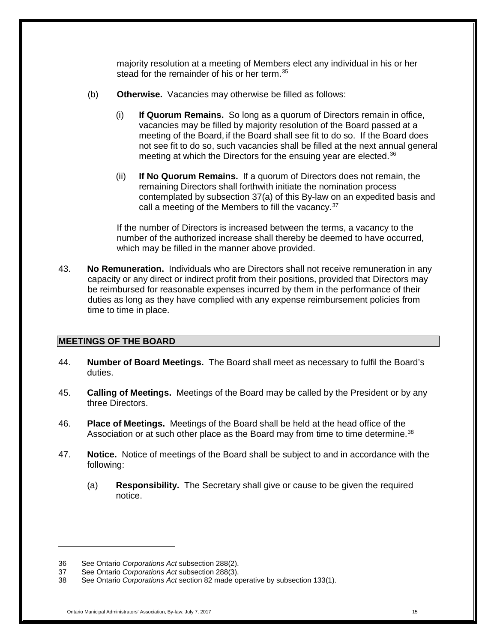majority resolution at a meeting of Members elect any individual in his or her stead for the remainder of his or her term. [35](#page-14-0)

- (b) **Otherwise.** Vacancies may otherwise be filled as follows:
	- (i) **If Quorum Remains.** So long as a quorum of Directors remain in office, vacancies may be filled by majority resolution of the Board passed at a meeting of the Board, if the Board shall see fit to do so. If the Board does not see fit to do so, such vacancies shall be filled at the next annual general meeting at which the Directors for the ensuing year are elected.<sup>[36](#page-14-1)</sup>
	- (ii) **If No Quorum Remains.** If a quorum of Directors does not remain, the remaining Directors shall forthwith initiate the nomination process contemplated by subsection 37(a) of this By-law on an expedited basis and call a meeting of the Members to fill the vacancy.<sup>[37](#page-14-2)</sup>

If the number of Directors is increased between the terms, a vacancy to the number of the authorized increase shall thereby be deemed to have occurred, which may be filled in the manner above provided.

43. **No Remuneration.** Individuals who are Directors shall not receive remuneration in any capacity or any direct or indirect profit from their positions, provided that Directors may be reimbursed for reasonable expenses incurred by them in the performance of their duties as long as they have complied with any expense reimbursement policies from time to time in place.

## **MEETINGS OF THE BOARD**

- 44. **Number of Board Meetings.** The Board shall meet as necessary to fulfil the Board's duties.
- 45. **Calling of Meetings.** Meetings of the Board may be called by the President or by any three Directors.
- 46. **Place of Meetings.** Meetings of the Board shall be held at the head office of the Association or at such other place as the Board may from time to time determine.<sup>[38](#page-14-3)</sup>
- 47. **Notice.** Notice of meetings of the Board shall be subject to and in accordance with the following:
	- (a) **Responsibility.** The Secretary shall give or cause to be given the required notice.

<span id="page-14-1"></span><span id="page-14-0"></span><sup>36</sup> See Ontario *Corporations Act* subsection 288(2).

<span id="page-14-2"></span><sup>37</sup> See Ontario *Corporations Act* subsection 288(3).

<span id="page-14-3"></span><sup>38</sup> See Ontario *Corporations Act* section 82 made operative by subsection 133(1).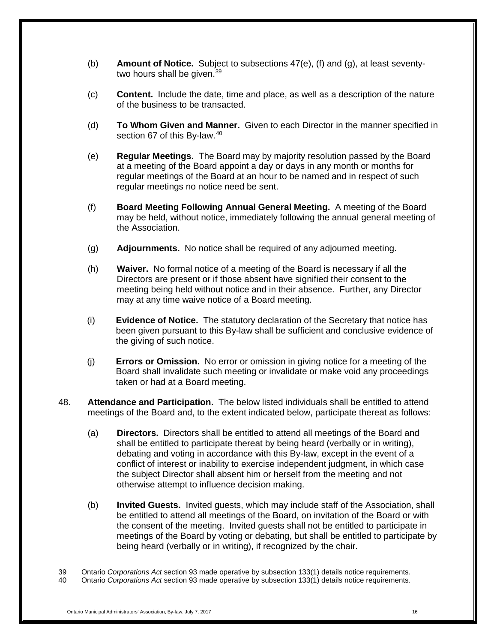- (b) **Amount of Notice.** Subject to subsections 47(e), (f) and (g), at least seventy-two hours shall be given.<sup>[39](#page-15-0)</sup>
- (c) **Content.** Include the date, time and place, as well as a description of the nature of the business to be transacted.
- (d) **To Whom Given and Manner.** Given to each Director in the manner specified in section 67 of this By-law.<sup>[40](#page-15-1)</sup>
- (e) **Regular Meetings.** The Board may by majority resolution passed by the Board at a meeting of the Board appoint a day or days in any month or months for regular meetings of the Board at an hour to be named and in respect of such regular meetings no notice need be sent.
- (f) **Board Meeting Following Annual General Meeting.** A meeting of the Board may be held, without notice, immediately following the annual general meeting of the Association.
- (g) **Adjournments.** No notice shall be required of any adjourned meeting.
- (h) **Waiver.** No formal notice of a meeting of the Board is necessary if all the Directors are present or if those absent have signified their consent to the meeting being held without notice and in their absence. Further, any Director may at any time waive notice of a Board meeting.
- (i) **Evidence of Notice.** The statutory declaration of the Secretary that notice has been given pursuant to this By-law shall be sufficient and conclusive evidence of the giving of such notice.
- (j) **Errors or Omission.** No error or omission in giving notice for a meeting of the Board shall invalidate such meeting or invalidate or make void any proceedings taken or had at a Board meeting.
- 48. **Attendance and Participation.** The below listed individuals shall be entitled to attend meetings of the Board and, to the extent indicated below, participate thereat as follows:
	- (a) **Directors.** Directors shall be entitled to attend all meetings of the Board and shall be entitled to participate thereat by being heard (verbally or in writing), debating and voting in accordance with this By-law, except in the event of a conflict of interest or inability to exercise independent judgment, in which case the subject Director shall absent him or herself from the meeting and not otherwise attempt to influence decision making.
	- (b) **Invited Guests.** Invited guests, which may include staff of the Association, shall be entitled to attend all meetings of the Board, on invitation of the Board or with the consent of the meeting. Invited guests shall not be entitled to participate in meetings of the Board by voting or debating, but shall be entitled to participate by being heard (verbally or in writing), if recognized by the chair.

<span id="page-15-0"></span><sup>39</sup> Ontario *Corporations Act* section 93 made operative by subsection 133(1) details notice requirements.

<span id="page-15-1"></span><sup>40</sup> Ontario *Corporations Act* section 93 made operative by subsection 133(1) details notice requirements.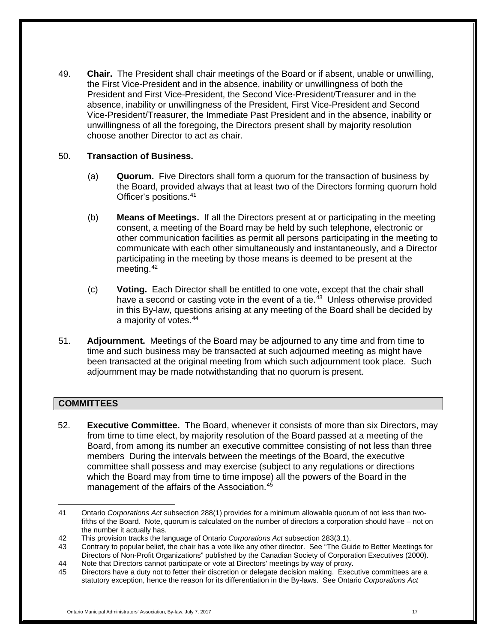49. **Chair.** The President shall chair meetings of the Board or if absent, unable or unwilling, the First Vice-President and in the absence, inability or unwillingness of both the President and First Vice-President, the Second Vice-President/Treasurer and in the absence, inability or unwillingness of the President, First Vice-President and Second Vice-President/Treasurer, the Immediate Past President and in the absence, inability or unwillingness of all the foregoing, the Directors present shall by majority resolution choose another Director to act as chair.

#### 50. **Transaction of Business.**

- (a) **Quorum.** Five Directors shall form a quorum for the transaction of business by the Board, provided always that at least two of the Directors forming quorum hold Officer's positions. [41](#page-16-1)
- (b) **Means of Meetings.** If all the Directors present at or participating in the meeting consent, a meeting of the Board may be held by such telephone, electronic or other communication facilities as permit all persons participating in the meeting to communicate with each other simultaneously and instantaneously, and a Director participating in the meeting by those means is deemed to be present at the meeting.<sup>[42](#page-16-2)</sup>
- (c) **Voting.** Each Director shall be entitled to one vote, except that the chair shall have a second or casting vote in the event of a tie.<sup>[43](#page-16-3)</sup> Unless otherwise provided in this By-law, questions arising at any meeting of the Board shall be decided by a majority of votes.[44](#page-16-4)
- 51. **Adjournment.** Meetings of the Board may be adjourned to any time and from time to time and such business may be transacted at such adjourned meeting as might have been transacted at the original meeting from which such adjournment took place. Such adjournment may be made notwithstanding that no quorum is present.

## <span id="page-16-0"></span>**COMMITTEES**

52. **Executive Committee.** The Board, whenever it consists of more than six Directors, may from time to time elect, by majority resolution of the Board passed at a meeting of the Board, from among its number an executive committee consisting of not less than three members During the intervals between the meetings of the Board, the executive committee shall possess and may exercise (subject to any regulations or directions which the Board may from time to time impose) all the powers of the Board in the management of the affairs of the Association. [45](#page-16-5)

<span id="page-16-1"></span> $\overline{a}$ 41 Ontario *Corporations Act* subsection 288(1) provides for a minimum allowable quorum of not less than twofifths of the Board. Note, quorum is calculated on the number of directors a corporation should have – not on the number it actually has.

<span id="page-16-2"></span><sup>42</sup> This provision tracks the language of Ontario *Corporations Act* subsection 283(3.1).

<span id="page-16-3"></span><sup>43</sup> Contrary to popular belief, the chair has a vote like any other director. See "The Guide to Better Meetings for Directors of Non-Profit Organizations" published by the Canadian Society of Corporation Executives (2000).

<span id="page-16-4"></span><sup>44</sup> Note that Directors cannot participate or vote at Directors' meetings by way of proxy.

<span id="page-16-5"></span><sup>45</sup> Directors have a duty not to fetter their discretion or delegate decision making. Executive committees are a statutory exception, hence the reason for its differentiation in the By-laws. See Ontario *Corporations Act*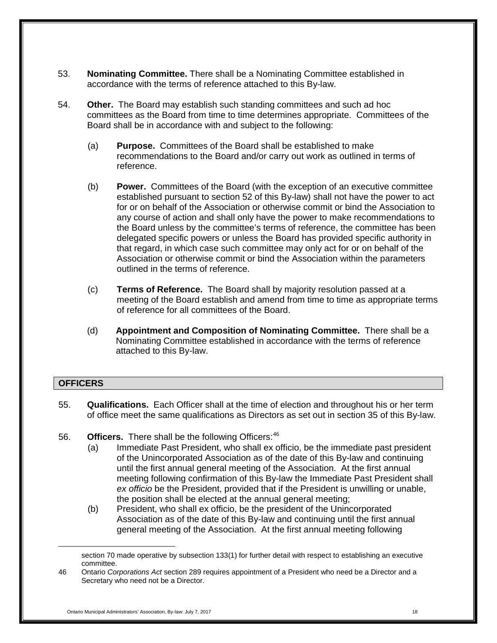- 53. **Nominating Committee.** There shall be a Nominating Committee established in accordance with the terms of reference attached to this By-law.
- 54. **Other.** The Board may establish such standing committees and such ad hoc committees as the Board from time to time determines appropriate. Committees of the Board shall be in accordance with and subject to the following:
	- (a) **Purpose.** Committees of the Board shall be established to make recommendations to the Board and/or carry out work as outlined in terms of reference.
	- (b) **Power.** Committees of the Board (with the exception of an executive committee established pursuant to section 52 of this By-law) shall not have the power to act for or on behalf of the Association or otherwise commit or bind the Association to any course of action and shall only have the power to make recommendations to the Board unless by the committee's terms of reference, the committee has been delegated specific powers or unless the Board has provided specific authority in that regard, in which case such committee may only act for or on behalf of the Association or otherwise commit or bind the Association within the parameters outlined in the terms of reference.
	- (c) **Terms of Reference.** The Board shall by majority resolution passed at a meeting of the Board establish and amend from time to time as appropriate terms of reference for all committees of the Board.
	- (d) **Appointment and Composition of Nominating Committee.** There shall be a Nominating Committee established in accordance with the terms of reference attached to this By-law.

## <span id="page-17-0"></span>**OFFICERS**

- 55. **Qualifications.** Each Officer shall at the time of election and throughout his or her term of office meet the same qualifications as Directors as set out in section 35 of this By-law.
- 56. **Officers.** There shall be the following Officers:<sup>[46](#page-17-1)</sup>
	- (a) Immediate Past President, who shall ex officio, be the immediate past president of the Unincorporated Association as of the date of this By-law and continuing until the first annual general meeting of the Association. At the first annual meeting following confirmation of this By-law the Immediate Past President shall *ex officio* be the President, provided that if the President is unwilling or unable, the position shall be elected at the annual general meeting;
	- (b) President, who shall ex officio, be the president of the Unincorporated Association as of the date of this By-law and continuing until the first annual general meeting of the Association. At the first annual meeting following

section 70 made operative by subsection 133(1) for further detail with respect to establishing an executive committee.

<span id="page-17-1"></span><sup>46</sup> Ontario *Corporations Act* section 289 requires appointment of a President who need be a Director and a Secretary who need not be a Director.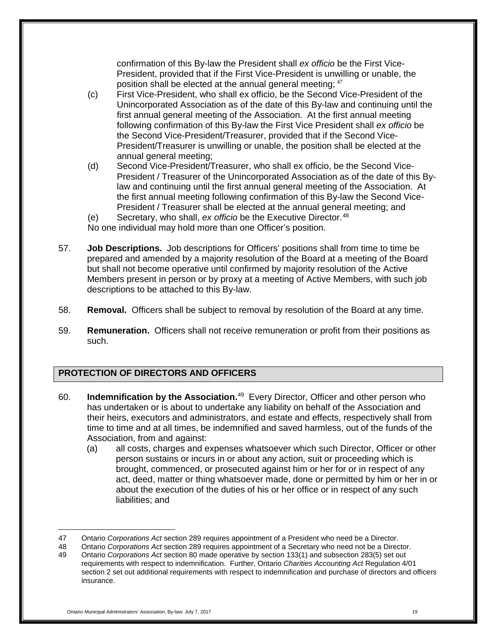confirmation of this By-law the President shall *ex officio* be the First Vice-President, provided that if the First Vice-President is unwilling or unable, the position shall be elected at the annual general meeting; [47](#page-18-1)

- (c) First Vice-President, who shall ex officio, be the Second Vice-President of the Unincorporated Association as of the date of this By-law and continuing until the first annual general meeting of the Association. At the first annual meeting following confirmation of this By-law the First Vice President shall *ex officio* be the Second Vice-President/Treasurer, provided that if the Second Vice-President/Treasurer is unwilling or unable, the position shall be elected at the annual general meeting;
- (d) Second Vice-President/Treasurer, who shall ex officio, be the Second Vice-President / Treasurer of the Unincorporated Association as of the date of this Bylaw and continuing until the first annual general meeting of the Association. At the first annual meeting following confirmation of this By-law the Second Vice-President / Treasurer shall be elected at the annual general meeting; and
- (e) Secretary, who shall, *ex officio* be the Executive Director.[48](#page-18-2)

No one individual may hold more than one Officer's position.

- 57. **Job Descriptions.** Job descriptions for Officers' positions shall from time to time be prepared and amended by a majority resolution of the Board at a meeting of the Board but shall not become operative until confirmed by majority resolution of the Active Members present in person or by proxy at a meeting of Active Members, with such job descriptions to be attached to this By-law.
- 58. **Removal.** Officers shall be subject to removal by resolution of the Board at any time.
- 59. **Remuneration.** Officers shall not receive remuneration or profit from their positions as such.

## <span id="page-18-0"></span>**PROTECTION OF DIRECTORS AND OFFICERS**

- 60. **Indemnification by the Association.** [49](#page-18-3) Every Director, Officer and other person who has undertaken or is about to undertake any liability on behalf of the Association and their heirs, executors and administrators, and estate and effects, respectively shall from time to time and at all times, be indemnified and saved harmless, out of the funds of the Association, from and against:
	- (a) all costs, charges and expenses whatsoever which such Director, Officer or other person sustains or incurs in or about any action, suit or proceeding which is brought, commenced, or prosecuted against him or her for or in respect of any act, deed, matter or thing whatsoever made, done or permitted by him or her in or about the execution of the duties of his or her office or in respect of any such liabilities; and

 $\overline{a}$ 47 Ontario *Corporations Act* section 289 requires appointment of a President who need be a Director.

<span id="page-18-3"></span><span id="page-18-2"></span><span id="page-18-1"></span><sup>48</sup> Ontario *Corporations Act* section 289 requires appointment of a Secretary who need not be a Director. 49 Ontario *Corporations Act* section 80 made operative by section 133(1) and subsection 283(5) set out requirements with respect to indemnification. Further, Ontario *Charities Accounting Act* Regulation 4/01 section 2 set out additional requirements with respect to indemnification and purchase of directors and officers insurance.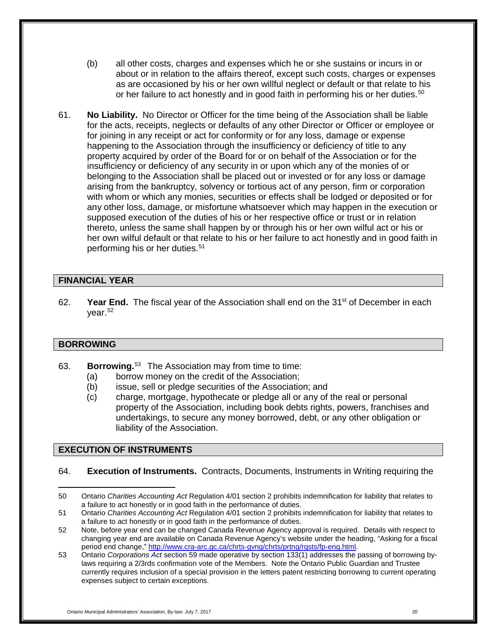- (b) all other costs, charges and expenses which he or she sustains or incurs in or about or in relation to the affairs thereof, except such costs, charges or expenses as are occasioned by his or her own willful neglect or default or that relate to his or her failure to act honestly and in good faith in performing his or her duties.<sup>[50](#page-19-3)</sup>
- 61. **No Liability.** No Director or Officer for the time being of the Association shall be liable for the acts, receipts, neglects or defaults of any other Director or Officer or employee or for joining in any receipt or act for conformity or for any loss, damage or expense happening to the Association through the insufficiency or deficiency of title to any property acquired by order of the Board for or on behalf of the Association or for the insufficiency or deficiency of any security in or upon which any of the monies of or belonging to the Association shall be placed out or invested or for any loss or damage arising from the bankruptcy, solvency or tortious act of any person, firm or corporation with whom or which any monies, securities or effects shall be lodged or deposited or for any other loss, damage, or misfortune whatsoever which may happen in the execution or supposed execution of the duties of his or her respective office or trust or in relation thereto, unless the same shall happen by or through his or her own wilful act or his or her own wilful default or that relate to his or her failure to act honestly and in good faith in performing his or her duties.<sup>[51](#page-19-4)</sup>

## <span id="page-19-0"></span>**FINANCIAL YEAR**

62. **Year End.** The fiscal year of the Association shall end on the 31<sup>st</sup> of December in each year.[52](#page-19-5)

## <span id="page-19-1"></span>**BORROWING**

- 63. **Borrowing.**[53](#page-19-6) The Association may from time to time:
	- (a) borrow money on the credit of the Association;
	- (b) issue, sell or pledge securities of the Association; and
	- (c) charge, mortgage, hypothecate or pledge all or any of the real or personal property of the Association, including book debts rights, powers, franchises and undertakings, to secure any money borrowed, debt, or any other obligation or liability of the Association.

## <span id="page-19-2"></span>**EXECUTION OF INSTRUMENTS**

64. **Execution of Instruments.** Contracts, Documents, Instruments in Writing requiring the

<span id="page-19-3"></span> $\overline{a}$ 50 Ontario *Charities Accounting Act* Regulation 4/01 section 2 prohibits indemnification for liability that relates to a failure to act honestly or in good faith in the performance of duties.

<span id="page-19-4"></span><sup>51</sup> Ontario *Charities Accounting Act* Regulation 4/01 section 2 prohibits indemnification for liability that relates to a failure to act honestly or in good faith in the performance of duties.

<span id="page-19-5"></span><sup>52</sup> Note, before year end can be changed Canada Revenue Agency approval is required. Details with respect to changing year end are available on Canada Revenue Agency's website under the heading, "Asking for a fiscal period end change," [http://www.cra-arc.gc.ca/chrts-gvng/chrts/prtng/rqsts/fp-eng.html.](http://www.cra-arc.gc.ca/chrts-gvng/chrts/prtng/rqsts/fp-eng.html)

<span id="page-19-6"></span><sup>53</sup> Ontario *Corporations Act* section 59 made operative by section 133(1) addresses the passing of borrowing bylaws requiring a 2/3rds confirmation vote of the Members. Note the Ontario Public Guardian and Trustee currently requires inclusion of a special provision in the letters patent restricting borrowing to current operating expenses subject to certain exceptions.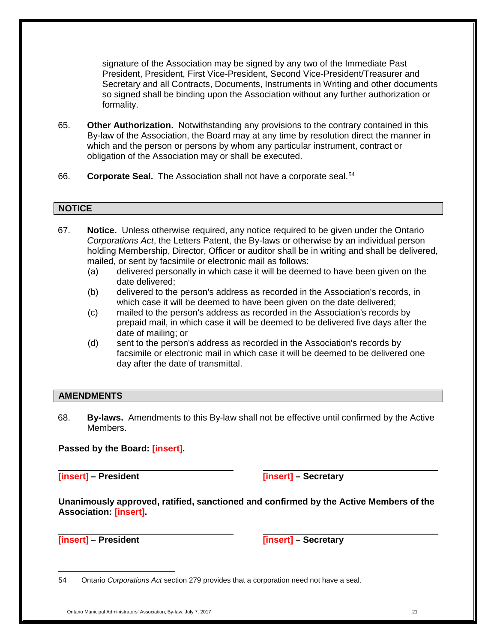signature of the Association may be signed by any two of the Immediate Past President, President, First Vice-President, Second Vice-President/Treasurer and Secretary and all Contracts, Documents, Instruments in Writing and other documents so signed shall be binding upon the Association without any further authorization or formality.

- 65. **Other Authorization.** Notwithstanding any provisions to the contrary contained in this By-law of the Association, the Board may at any time by resolution direct the manner in which and the person or persons by whom any particular instrument, contract or obligation of the Association may or shall be executed.
- 66. **Corporate Seal.** The Association shall not have a corporate seal.[54](#page-20-2)

#### <span id="page-20-0"></span>**NOTICE**

- 67. **Notice.** Unless otherwise required, any notice required to be given under the Ontario *Corporations Act*, the Letters Patent, the By-laws or otherwise by an individual person holding Membership, Director, Officer or auditor shall be in writing and shall be delivered, mailed, or sent by facsimile or electronic mail as follows:
	- (a) delivered personally in which case it will be deemed to have been given on the date delivered;
	- (b) delivered to the person's address as recorded in the Association's records, in which case it will be deemed to have been given on the date delivered;
	- (c) mailed to the person's address as recorded in the Association's records by prepaid mail, in which case it will be deemed to be delivered five days after the date of mailing; or
	- (d) sent to the person's address as recorded in the Association's records by facsimile or electronic mail in which case it will be deemed to be delivered one day after the date of transmittal.

#### <span id="page-20-1"></span>**AMENDMENTS**

68. **By-laws.** Amendments to this By-law shall not be effective until confirmed by the Active Members.

#### **Passed by the Board: [insert].**

**[insert] – President [insert] – Secretary**

**Unanimously approved, ratified, sanctioned and confirmed by the Active Members of the Association: [insert].**

 $\overline{a}$ 

**[insert] – President [insert] – Secretary**

<span id="page-20-2"></span>54 Ontario *Corporations Act* section 279 provides that a corporation need not have a seal.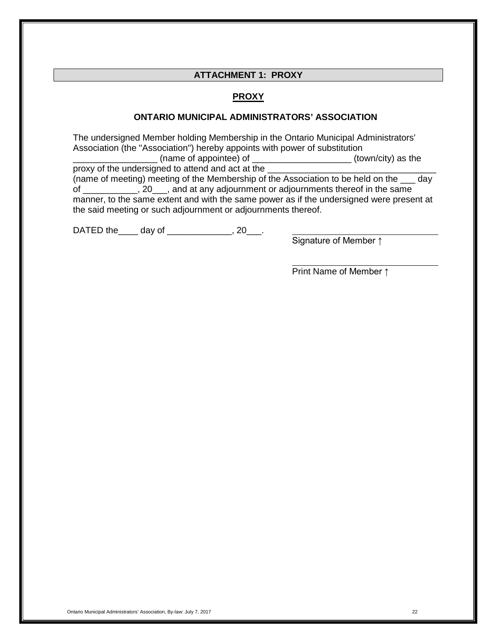#### **ATTACHMENT 1: PROXY**

#### **PROXY**

#### **ONTARIO MUNICIPAL ADMINISTRATORS' ASSOCIATION**

<span id="page-21-0"></span>The undersigned Member holding Membership in the Ontario Municipal Administrators' Association (the "Association") hereby appoints with power of substitution<br>(to (to

\_\_\_\_\_\_\_\_\_\_\_\_\_\_\_\_\_\_\_\_\_\_\_\_\_(town/city) as the proxy of the undersigned to attend and act at the

(name of meeting) meeting of the Membership of the Association to be held on the \_\_\_ day of \_\_\_\_\_\_\_\_\_\_\_, 20\_\_\_, and at any adjournment or adjournments thereof in the same manner, to the same extent and with the same power as if the undersigned were present at the said meeting or such adjournment or adjournments thereof.

DATED the day of  $\qquad \qquad .20$ .

Signature of Member ↑

Print Name of Member ↑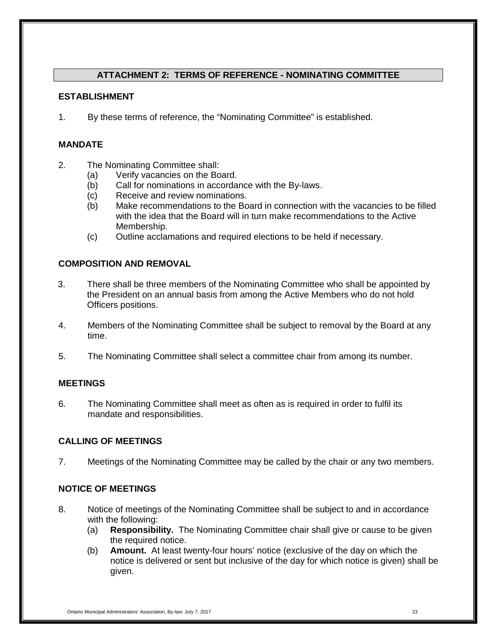## **ATTACHMENT 2: TERMS OF REFERENCE - NOMINATING COMMITTEE**

## <span id="page-22-0"></span>**ESTABLISHMENT**

1. By these terms of reference, the "Nominating Committee" is established.

## **MANDATE**

- 2. The Nominating Committee shall:
	- (a) Verify vacancies on the Board.
	- (b) Call for nominations in accordance with the By-laws.
	- (c) Receive and review nominations.
	- (b) Make recommendations to the Board in connection with the vacancies to be filled with the idea that the Board will in turn make recommendations to the Active Membership.
	- (c) Outline acclamations and required elections to be held if necessary.

## **COMPOSITION AND REMOVAL**

- 3. There shall be three members of the Nominating Committee who shall be appointed by the President on an annual basis from among the Active Members who do not hold Officers positions.
- 4. Members of the Nominating Committee shall be subject to removal by the Board at any time.
- 5. The Nominating Committee shall select a committee chair from among its number.

## **MEETINGS**

6. The Nominating Committee shall meet as often as is required in order to fulfil its mandate and responsibilities.

## **CALLING OF MEETINGS**

7. Meetings of the Nominating Committee may be called by the chair or any two members.

## **NOTICE OF MEETINGS**

- 8. Notice of meetings of the Nominating Committee shall be subject to and in accordance with the following:
	- (a) **Responsibility.** The Nominating Committee chair shall give or cause to be given the required notice.
	- (b) **Amount.** At least twenty-four hours' notice (exclusive of the day on which the notice is delivered or sent but inclusive of the day for which notice is given) shall be given.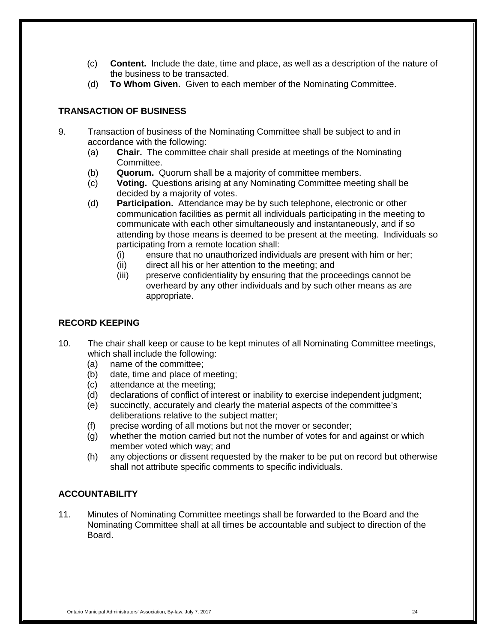- (c) **Content.** Include the date, time and place, as well as a description of the nature of the business to be transacted.
- (d) **To Whom Given.** Given to each member of the Nominating Committee.

## **TRANSACTION OF BUSINESS**

- 9. Transaction of business of the Nominating Committee shall be subject to and in accordance with the following:
	- (a) **Chair.** The committee chair shall preside at meetings of the Nominating Committee.
	- (b) **Quorum.** Quorum shall be a majority of committee members.
	- (c) **Voting.** Questions arising at any Nominating Committee meeting shall be decided by a majority of votes.
	- (d) **Participation.** Attendance may be by such telephone, electronic or other communication facilities as permit all individuals participating in the meeting to communicate with each other simultaneously and instantaneously, and if so attending by those means is deemed to be present at the meeting. Individuals so participating from a remote location shall:
		- (i) ensure that no unauthorized individuals are present with him or her;
		- (ii) direct all his or her attention to the meeting; and
		- (iii) preserve confidentiality by ensuring that the proceedings cannot be overheard by any other individuals and by such other means as are appropriate.

## **RECORD KEEPING**

- 10. The chair shall keep or cause to be kept minutes of all Nominating Committee meetings, which shall include the following:
	- (a) name of the committee;
	- (b) date, time and place of meeting;
	- (c) attendance at the meeting;
	- (d) declarations of conflict of interest or inability to exercise independent judgment;
	- (e) succinctly, accurately and clearly the material aspects of the committee's deliberations relative to the subject matter;
	- (f) precise wording of all motions but not the mover or seconder;
	- (g) whether the motion carried but not the number of votes for and against or which member voted which way; and
	- (h) any objections or dissent requested by the maker to be put on record but otherwise shall not attribute specific comments to specific individuals.

## **ACCOUNTABILITY**

11. Minutes of Nominating Committee meetings shall be forwarded to the Board and the Nominating Committee shall at all times be accountable and subject to direction of the Board.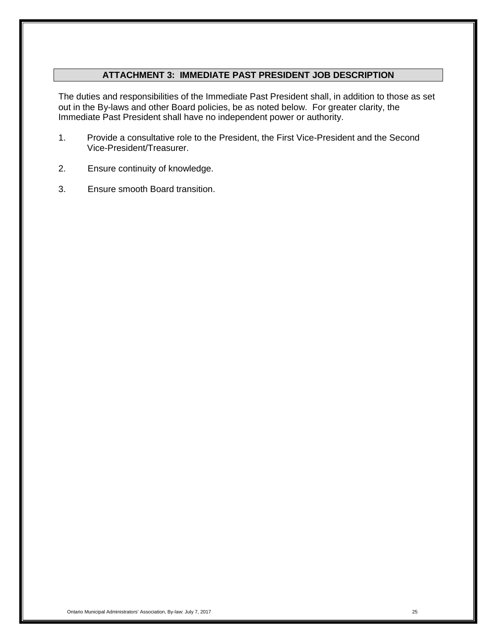## **ATTACHMENT 3: IMMEDIATE PAST PRESIDENT JOB DESCRIPTION**

<span id="page-24-0"></span>The duties and responsibilities of the Immediate Past President shall, in addition to those as set out in the By-laws and other Board policies, be as noted below. For greater clarity, the Immediate Past President shall have no independent power or authority.

- 1. Provide a consultative role to the President, the First Vice-President and the Second Vice-President/Treasurer.
- 2. Ensure continuity of knowledge.
- 3. Ensure smooth Board transition.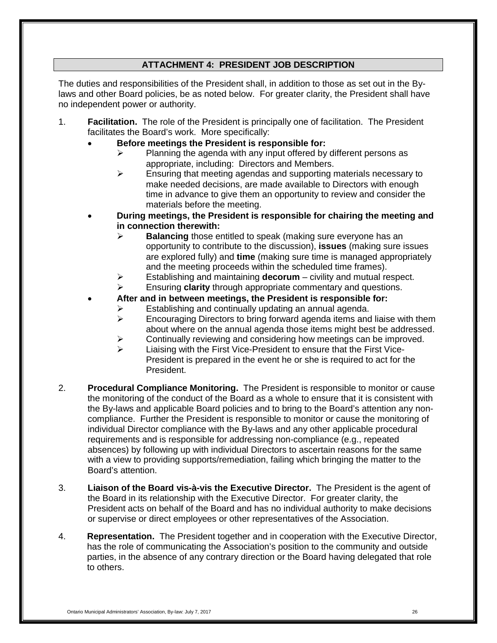## **ATTACHMENT 4: PRESIDENT JOB DESCRIPTION**

<span id="page-25-0"></span>The duties and responsibilities of the President shall, in addition to those as set out in the Bylaws and other Board policies, be as noted below. For greater clarity, the President shall have no independent power or authority.

- 1. **Facilitation.** The role of the President is principally one of facilitation. The President facilitates the Board's work. More specifically:
	- **Before meetings the President is responsible for:**
		- Planning the agenda with any input offered by different persons as appropriate, including: Directors and Members.
		- $\triangleright$  Ensuring that meeting agendas and supporting materials necessary to make needed decisions, are made available to Directors with enough time in advance to give them an opportunity to review and consider the materials before the meeting.
	- **During meetings, the President is responsible for chairing the meeting and in connection therewith:**
		- **Balancing** those entitled to speak (making sure everyone has an opportunity to contribute to the discussion), **issues** (making sure issues are explored fully) and **time** (making sure time is managed appropriately and the meeting proceeds within the scheduled time frames).
		- Establishing and maintaining **decorum** civility and mutual respect.
		- Ensuring **clarity** through appropriate commentary and questions.
	- **After and in between meetings, the President is responsible for:**
		- Establishing and continually updating an annual agenda.
		- $\triangleright$  Encouraging Directors to bring forward agenda items and liaise with them about where on the annual agenda those items might best be addressed.
		- Continually reviewing and considering how meetings can be improved.
		- Liaising with the First Vice-President to ensure that the First Vice-President is prepared in the event he or she is required to act for the President.
- 2. **Procedural Compliance Monitoring.** The President is responsible to monitor or cause the monitoring of the conduct of the Board as a whole to ensure that it is consistent with the By-laws and applicable Board policies and to bring to the Board's attention any noncompliance. Further the President is responsible to monitor or cause the monitoring of individual Director compliance with the By-laws and any other applicable procedural requirements and is responsible for addressing non-compliance (e.g., repeated absences) by following up with individual Directors to ascertain reasons for the same with a view to providing supports/remediation, failing which bringing the matter to the Board's attention.
- 3. **Liaison of the Board vis-à-vis the Executive Director.** The President is the agent of the Board in its relationship with the Executive Director. For greater clarity, the President acts on behalf of the Board and has no individual authority to make decisions or supervise or direct employees or other representatives of the Association.
- 4. **Representation.** The President together and in cooperation with the Executive Director, has the role of communicating the Association's position to the community and outside parties, in the absence of any contrary direction or the Board having delegated that role to others.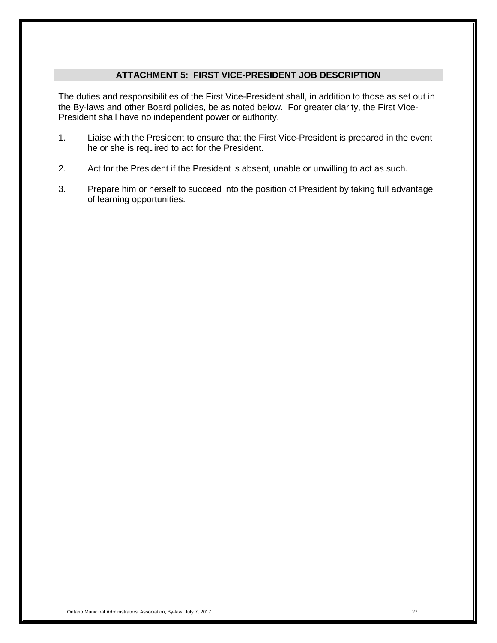## **ATTACHMENT 5: FIRST VICE-PRESIDENT JOB DESCRIPTION**

<span id="page-26-0"></span>The duties and responsibilities of the First Vice-President shall, in addition to those as set out in the By-laws and other Board policies, be as noted below. For greater clarity, the First Vice-President shall have no independent power or authority.

- 1. Liaise with the President to ensure that the First Vice-President is prepared in the event he or she is required to act for the President.
- 2. Act for the President if the President is absent, unable or unwilling to act as such.
- 3. Prepare him or herself to succeed into the position of President by taking full advantage of learning opportunities.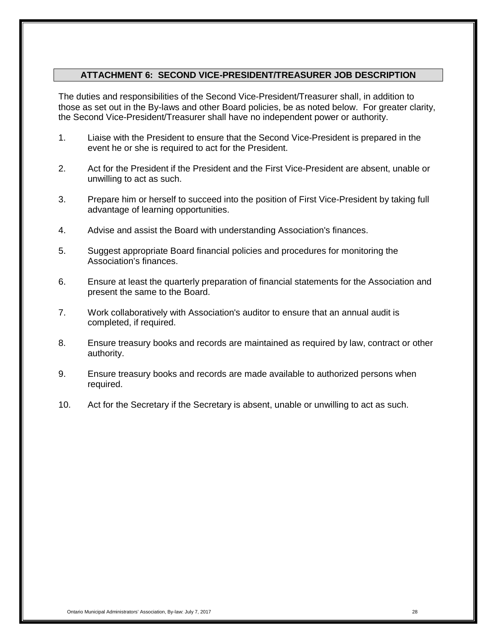#### **ATTACHMENT 6: SECOND VICE-PRESIDENT/TREASURER JOB DESCRIPTION**

<span id="page-27-0"></span>The duties and responsibilities of the Second Vice-President/Treasurer shall, in addition to those as set out in the By-laws and other Board policies, be as noted below. For greater clarity, the Second Vice-President/Treasurer shall have no independent power or authority.

- 1. Liaise with the President to ensure that the Second Vice-President is prepared in the event he or she is required to act for the President.
- 2. Act for the President if the President and the First Vice-President are absent, unable or unwilling to act as such.
- 3. Prepare him or herself to succeed into the position of First Vice-President by taking full advantage of learning opportunities.
- 4. Advise and assist the Board with understanding Association's finances.
- 5. Suggest appropriate Board financial policies and procedures for monitoring the Association's finances.
- 6. Ensure at least the quarterly preparation of financial statements for the Association and present the same to the Board.
- 7. Work collaboratively with Association's auditor to ensure that an annual audit is completed, if required.
- 8. Ensure treasury books and records are maintained as required by law, contract or other authority.
- 9. Ensure treasury books and records are made available to authorized persons when required.
- 10. Act for the Secretary if the Secretary is absent, unable or unwilling to act as such.